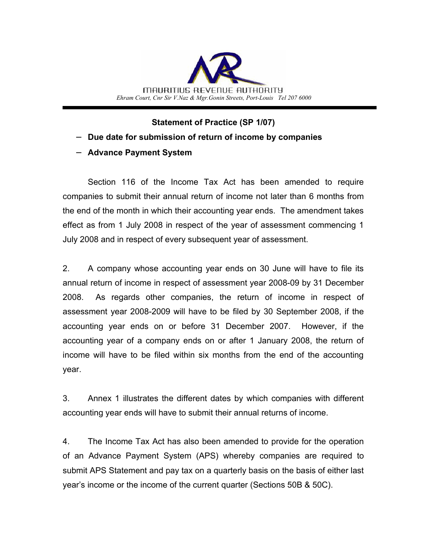

**Statement of Practice (SP 1/07)**

- − **Due date for submission of return of income by companies**
- − **Advance Payment System**

Section 116 of the Income Tax Act has been amended to require companies to submit their annual return of income not later than 6 months from the end of the month in which their accounting year ends. The amendment takes effect as from 1 July 2008 in respect of the year of assessment commencing 1 July 2008 and in respect of every subsequent year of assessment.

2. A company whose accounting year ends on 30 June will have to file its annual return of income in respect of assessment year 2008-09 by 31 December 2008. As regards other companies, the return of income in respect of assessment year 2008-2009 will have to be filed by 30 September 2008, if the accounting year ends on or before 31 December 2007. However, if the accounting year of a company ends on or after 1 January 2008, the return of income will have to be filed within six months from the end of the accounting year.

3. Annex 1 illustrates the different dates by which companies with different accounting year ends will have to submit their annual returns of income.

4. The Income Tax Act has also been amended to provide for the operation of an Advance Payment System (APS) whereby companies are required to submit APS Statement and pay tax on a quarterly basis on the basis of either last year's income or the income of the current quarter (Sections 50B & 50C).